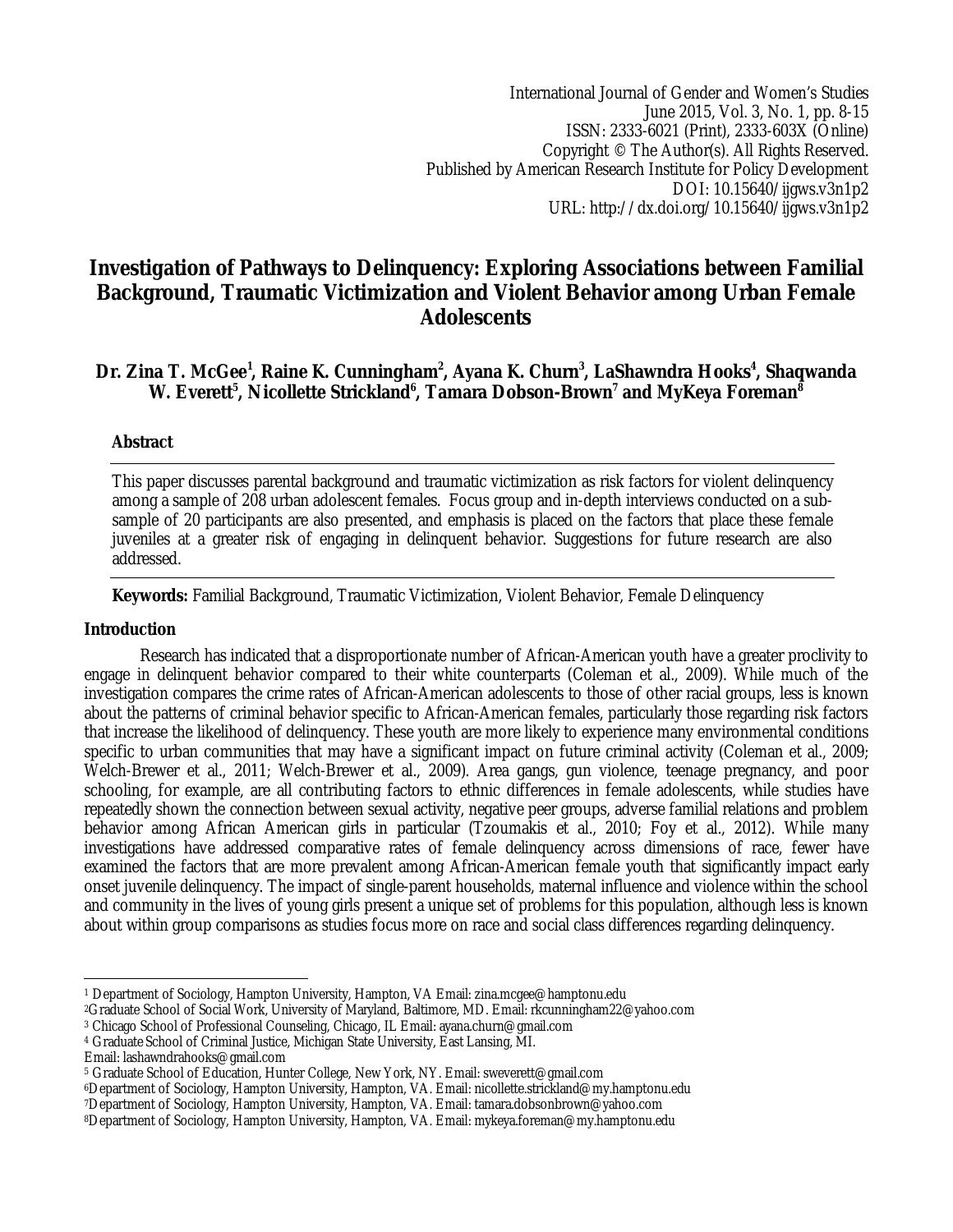International Journal of Gender and Women's Studies June 2015, Vol. 3, No. 1, pp. 8-15 ISSN: 2333-6021 (Print), 2333-603X (Online) Copyright © The Author(s). All Rights Reserved. Published by American Research Institute for Policy Development DOI: 10.15640/ijgws.v3n1p2 URL: http://dx.doi.org/10.15640/ijgws.v3n1p2

# **Investigation of Pathways to Delinquency: Exploring Associations between Familial Background, Traumatic Victimization and Violent Behavior among Urban Female Adolescents**

# **Dr. Zina T. McGee<sup>1</sup> , Raine K. Cunningham<sup>2</sup> , Ayana K. Churn<sup>3</sup> , LaShawndra Hooks<sup>4</sup> , Shaqwanda W. Everett<sup>5</sup> , Nicollette Strickland<sup>6</sup> , Tamara Dobson-Brown<sup>7</sup> and MyKeya Foreman<sup>8</sup>**

# **Abstract**

This paper discusses parental background and traumatic victimization as risk factors for violent delinquency among a sample of 208 urban adolescent females. Focus group and in-depth interviews conducted on a subsample of 20 participants are also presented, and emphasis is placed on the factors that place these female juveniles at a greater risk of engaging in delinquent behavior. Suggestions for future research are also addressed.

# **Keywords:** Familial Background, Traumatic Victimization, Violent Behavior, Female Delinquency

## **Introduction**

Research has indicated that a disproportionate number of African-American youth have a greater proclivity to engage in delinquent behavior compared to their white counterparts (Coleman et al., 2009). While much of the investigation compares the crime rates of African-American adolescents to those of other racial groups, less is known about the patterns of criminal behavior specific to African-American females, particularly those regarding risk factors that increase the likelihood of delinquency. These youth are more likely to experience many environmental conditions specific to urban communities that may have a significant impact on future criminal activity (Coleman et al., 2009; Welch-Brewer et al., 2011; Welch-Brewer et al., 2009). Area gangs, gun violence, teenage pregnancy, and poor schooling, for example, are all contributing factors to ethnic differences in female adolescents, while studies have repeatedly shown the connection between sexual activity, negative peer groups, adverse familial relations and problem behavior among African American girls in particular (Tzoumakis et al., 2010; Foy et al., 2012). While many investigations have addressed comparative rates of female delinquency across dimensions of race, fewer have examined the factors that are more prevalent among African-American female youth that significantly impact early onset juvenile delinquency. The impact of single-parent households, maternal influence and violence within the school and community in the lives of young girls present a unique set of problems for this population, although less is known about within group comparisons as studies focus more on race and social class differences regarding delinquency.

<sup>4</sup> Graduate School of Criminal Justice, Michigan State University, East Lansing, MI.

 $\overline{\phantom{a}}$ <sup>1</sup> Department of Sociology, Hampton University, Hampton, VA Email: zina.mcgee@hamptonu.edu

<sup>2</sup>Graduate School of Social Work, University of Maryland, Baltimore, MD. Email: rkcunningham22@yahoo.com

<sup>3</sup> Chicago School of Professional Counseling, Chicago, IL Email: ayana.churn@gmail.com

Email: lashawndrahooks@gmail.com

<sup>5</sup> Graduate School of Education, Hunter College, New York, NY. Email: sweverett@gmail.com

<sup>6</sup>Department of Sociology, Hampton University, Hampton, VA. Email: nicollette.strickland@my.hamptonu.edu

<sup>7</sup>Department of Sociology, Hampton University, Hampton, VA. Email: tamara.dobsonbrown@yahoo.com

<sup>8</sup>Department of Sociology, Hampton University, Hampton, VA. Email: mykeya.foreman@my.hamptonu.edu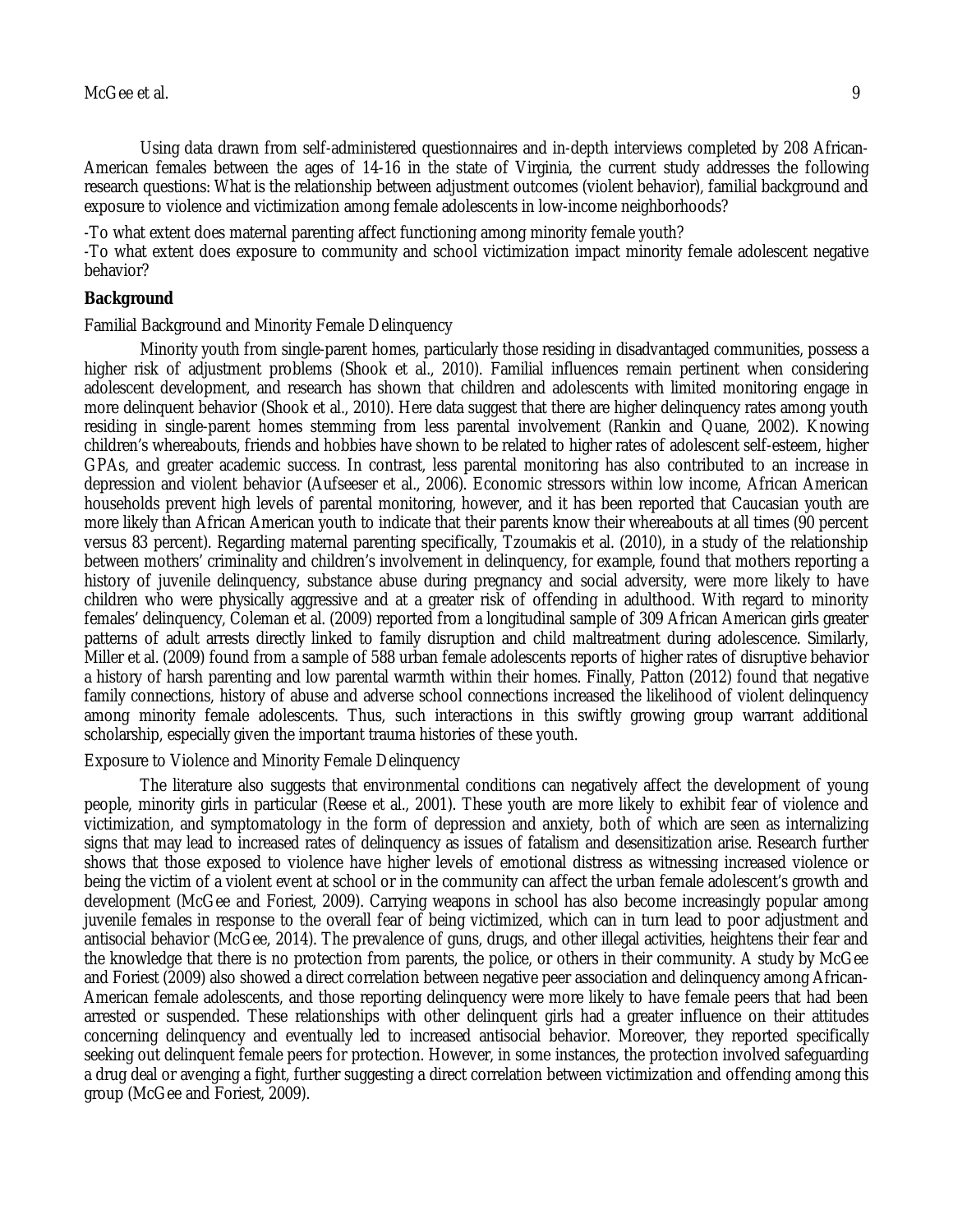Using data drawn from self-administered questionnaires and in-depth interviews completed by 208 African-American females between the ages of 14-16 in the state of Virginia, the current study addresses the following research questions: What is the relationship between adjustment outcomes (violent behavior), familial background and exposure to violence and victimization among female adolescents in low-income neighborhoods?

-To what extent does maternal parenting affect functioning among minority female youth?

-To what extent does exposure to community and school victimization impact minority female adolescent negative behavior?

# **Background**

Familial Background and Minority Female Delinquency

Minority youth from single-parent homes, particularly those residing in disadvantaged communities, possess a higher risk of adjustment problems (Shook et al., 2010). Familial influences remain pertinent when considering adolescent development, and research has shown that children and adolescents with limited monitoring engage in more delinquent behavior (Shook et al., 2010). Here data suggest that there are higher delinquency rates among youth residing in single-parent homes stemming from less parental involvement (Rankin and Quane, 2002). Knowing children's whereabouts, friends and hobbies have shown to be related to higher rates of adolescent self-esteem, higher GPAs, and greater academic success. In contrast, less parental monitoring has also contributed to an increase in depression and violent behavior (Aufseeser et al., 2006). Economic stressors within low income, African American households prevent high levels of parental monitoring, however, and it has been reported that Caucasian youth are more likely than African American youth to indicate that their parents know their whereabouts at all times (90 percent versus 83 percent). Regarding maternal parenting specifically, Tzoumakis et al. (2010), in a study of the relationship between mothers' criminality and children's involvement in delinquency, for example, found that mothers reporting a history of juvenile delinquency, substance abuse during pregnancy and social adversity, were more likely to have children who were physically aggressive and at a greater risk of offending in adulthood. With regard to minority females' delinquency, Coleman et al. (2009) reported from a longitudinal sample of 309 African American girls greater patterns of adult arrests directly linked to family disruption and child maltreatment during adolescence. Similarly, Miller et al. (2009) found from a sample of 588 urban female adolescents reports of higher rates of disruptive behavior a history of harsh parenting and low parental warmth within their homes. Finally, Patton (2012) found that negative family connections, history of abuse and adverse school connections increased the likelihood of violent delinquency among minority female adolescents. Thus, such interactions in this swiftly growing group warrant additional scholarship, especially given the important trauma histories of these youth.

#### Exposure to Violence and Minority Female Delinquency

The literature also suggests that environmental conditions can negatively affect the development of young people, minority girls in particular (Reese et al., 2001). These youth are more likely to exhibit fear of violence and victimization, and symptomatology in the form of depression and anxiety, both of which are seen as internalizing signs that may lead to increased rates of delinquency as issues of fatalism and desensitization arise. Research further shows that those exposed to violence have higher levels of emotional distress as witnessing increased violence or being the victim of a violent event at school or in the community can affect the urban female adolescent's growth and development (McGee and Foriest, 2009). Carrying weapons in school has also become increasingly popular among juvenile females in response to the overall fear of being victimized, which can in turn lead to poor adjustment and antisocial behavior (McGee, 2014). The prevalence of guns, drugs, and other illegal activities, heightens their fear and the knowledge that there is no protection from parents, the police, or others in their community. A study by McGee and Foriest (2009) also showed a direct correlation between negative peer association and delinquency among African-American female adolescents, and those reporting delinquency were more likely to have female peers that had been arrested or suspended. These relationships with other delinquent girls had a greater influence on their attitudes concerning delinquency and eventually led to increased antisocial behavior. Moreover, they reported specifically seeking out delinquent female peers for protection. However, in some instances, the protection involved safeguarding a drug deal or avenging a fight, further suggesting a direct correlation between victimization and offending among this group (McGee and Foriest, 2009).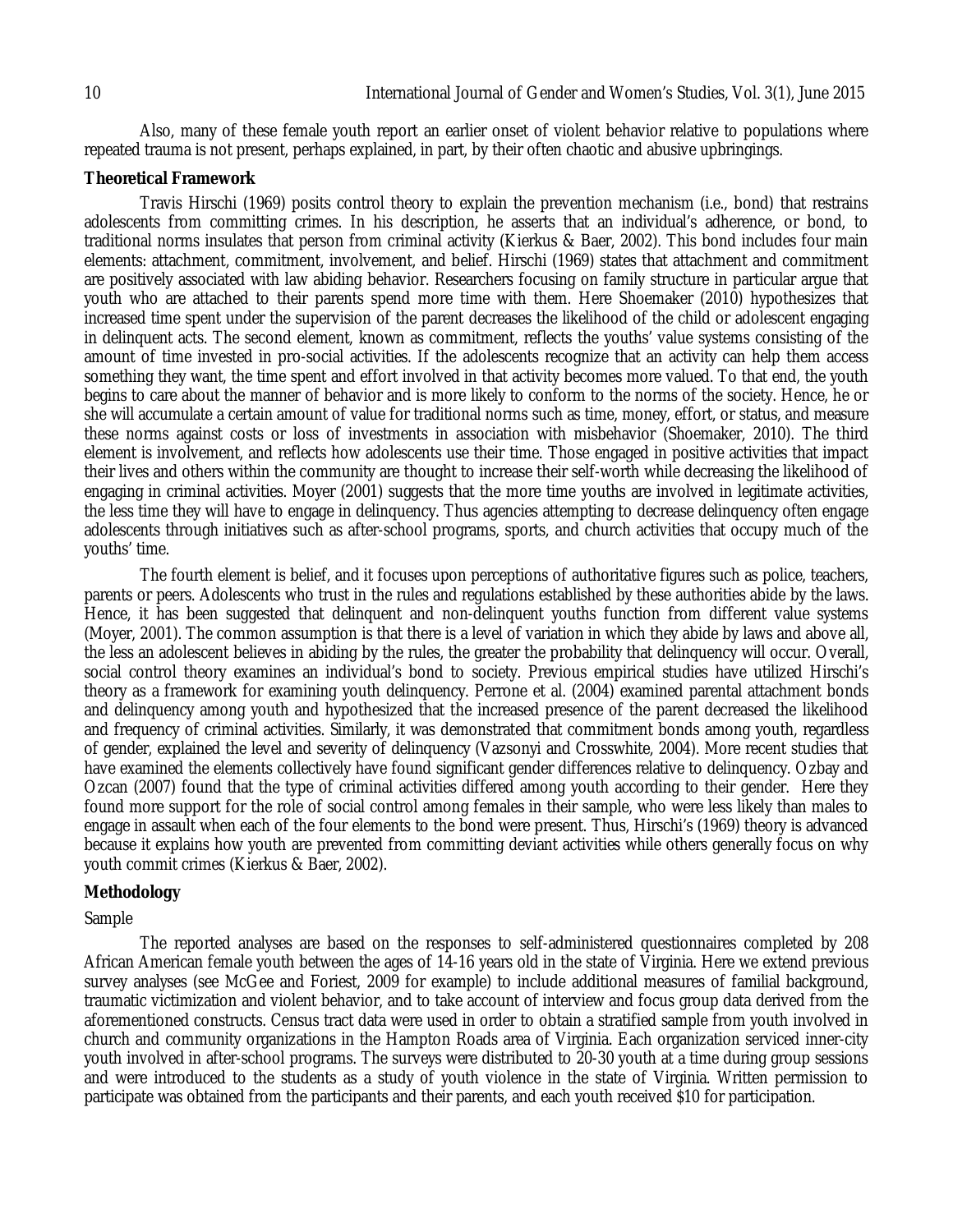Also, many of these female youth report an earlier onset of violent behavior relative to populations where repeated trauma is not present, perhaps explained, in part, by their often chaotic and abusive upbringings.

#### **Theoretical Framework**

Travis Hirschi (1969) posits control theory to explain the prevention mechanism (i.e., bond) that restrains adolescents from committing crimes. In his description, he asserts that an individual's adherence, or bond, to traditional norms insulates that person from criminal activity (Kierkus & Baer, 2002). This bond includes four main elements: attachment, commitment, involvement, and belief. Hirschi (1969) states that attachment and commitment are positively associated with law abiding behavior. Researchers focusing on family structure in particular argue that youth who are attached to their parents spend more time with them. Here Shoemaker (2010) hypothesizes that increased time spent under the supervision of the parent decreases the likelihood of the child or adolescent engaging in delinquent acts. The second element, known as commitment, reflects the youths' value systems consisting of the amount of time invested in pro-social activities. If the adolescents recognize that an activity can help them access something they want, the time spent and effort involved in that activity becomes more valued. To that end, the youth begins to care about the manner of behavior and is more likely to conform to the norms of the society. Hence, he or she will accumulate a certain amount of value for traditional norms such as time, money, effort, or status, and measure these norms against costs or loss of investments in association with misbehavior (Shoemaker, 2010). The third element is involvement, and reflects how adolescents use their time. Those engaged in positive activities that impact their lives and others within the community are thought to increase their self-worth while decreasing the likelihood of engaging in criminal activities. Moyer (2001) suggests that the more time youths are involved in legitimate activities, the less time they will have to engage in delinquency. Thus agencies attempting to decrease delinquency often engage adolescents through initiatives such as after-school programs, sports, and church activities that occupy much of the youths' time.

The fourth element is belief, and it focuses upon perceptions of authoritative figures such as police, teachers, parents or peers. Adolescents who trust in the rules and regulations established by these authorities abide by the laws. Hence, it has been suggested that delinquent and non-delinquent youths function from different value systems (Moyer, 2001). The common assumption is that there is a level of variation in which they abide by laws and above all, the less an adolescent believes in abiding by the rules, the greater the probability that delinquency will occur. Overall, social control theory examines an individual's bond to society. Previous empirical studies have utilized Hirschi's theory as a framework for examining youth delinquency. Perrone et al. (2004) examined parental attachment bonds and delinquency among youth and hypothesized that the increased presence of the parent decreased the likelihood and frequency of criminal activities. Similarly, it was demonstrated that commitment bonds among youth, regardless of gender, explained the level and severity of delinquency (Vazsonyi and Crosswhite, 2004). More recent studies that have examined the elements collectively have found significant gender differences relative to delinquency. Ozbay and Ozcan (2007) found that the type of criminal activities differed among youth according to their gender. Here they found more support for the role of social control among females in their sample, who were less likely than males to engage in assault when each of the four elements to the bond were present. Thus, Hirschi's (1969) theory is advanced because it explains how youth are prevented from committing deviant activities while others generally focus on why youth commit crimes (Kierkus & Baer, 2002).

#### **Methodology**

#### Sample

The reported analyses are based on the responses to self-administered questionnaires completed by 208 African American female youth between the ages of 14-16 years old in the state of Virginia. Here we extend previous survey analyses (see McGee and Foriest, 2009 for example) to include additional measures of familial background, traumatic victimization and violent behavior, and to take account of interview and focus group data derived from the aforementioned constructs. Census tract data were used in order to obtain a stratified sample from youth involved in church and community organizations in the Hampton Roads area of Virginia. Each organization serviced inner-city youth involved in after-school programs. The surveys were distributed to 20-30 youth at a time during group sessions and were introduced to the students as a study of youth violence in the state of Virginia. Written permission to participate was obtained from the participants and their parents, and each youth received \$10 for participation.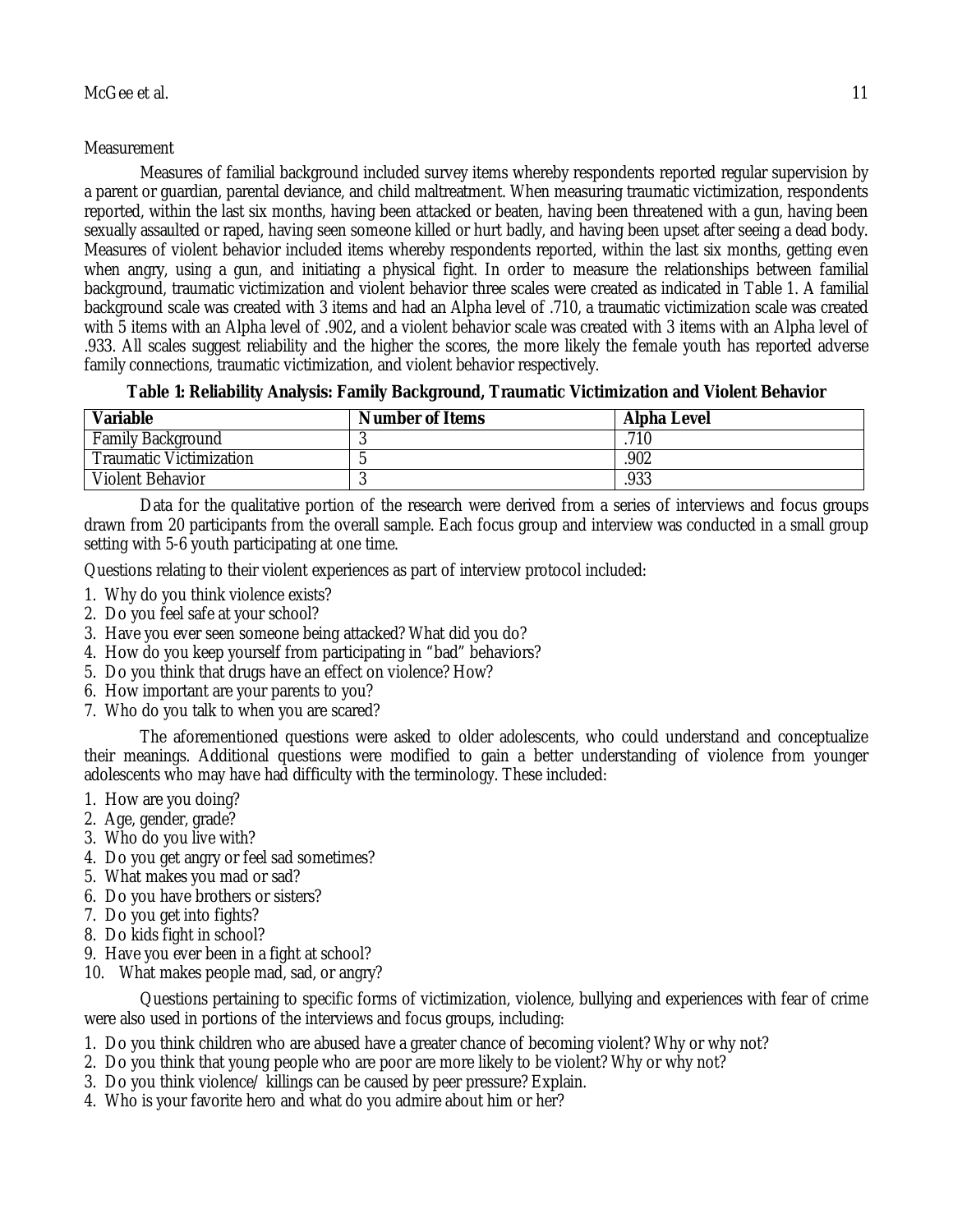# **Measurement**

Measures of familial background included survey items whereby respondents reported regular supervision by a parent or guardian, parental deviance, and child maltreatment. When measuring traumatic victimization, respondents reported, within the last six months, having been attacked or beaten, having been threatened with a gun, having been sexually assaulted or raped, having seen someone killed or hurt badly, and having been upset after seeing a dead body. Measures of violent behavior included items whereby respondents reported, within the last six months, getting even when angry, using a gun, and initiating a physical fight. In order to measure the relationships between familial background, traumatic victimization and violent behavior three scales were created as indicated in Table 1. A familial background scale was created with 3 items and had an Alpha level of .710, a traumatic victimization scale was created with 5 items with an Alpha level of .902, and a violent behavior scale was created with 3 items with an Alpha level of .933. All scales suggest reliability and the higher the scores, the more likely the female youth has reported adverse family connections, traumatic victimization, and violent behavior respectively.

**Table 1: Reliability Analysis: Family Background, Traumatic Victimization and Violent Behavior**

| Variable                       | <b>Number of Items</b> | <b>Alpha Level</b> |
|--------------------------------|------------------------|--------------------|
| <b>Family Background</b>       |                        | .710               |
| <b>Traumatic Victimization</b> |                        | 902                |
| <b>Violent Behavior</b>        |                        | .933               |

Data for the qualitative portion of the research were derived from a series of interviews and focus groups drawn from 20 participants from the overall sample. Each focus group and interview was conducted in a small group setting with 5-6 youth participating at one time.

Questions relating to their violent experiences as part of interview protocol included:

- 1. Why do you think violence exists?
- 2. Do you feel safe at your school?
- 3. Have you ever seen someone being attacked? What did you do?
- 4. How do you keep yourself from participating in "bad" behaviors?
- 5. Do you think that drugs have an effect on violence? How?
- 6. How important are your parents to you?
- 7. Who do you talk to when you are scared?

The aforementioned questions were asked to older adolescents, who could understand and conceptualize their meanings. Additional questions were modified to gain a better understanding of violence from younger adolescents who may have had difficulty with the terminology. These included:

- 1. How are you doing?
- 2. Age, gender, grade?
- 3. Who do you live with?
- 4. Do you get angry or feel sad sometimes?
- 5. What makes you mad or sad?
- 6. Do you have brothers or sisters?
- 7. Do you get into fights?
- 8. Do kids fight in school?
- 9. Have you ever been in a fight at school?
- 10. What makes people mad, sad, or angry?

Questions pertaining to specific forms of victimization, violence, bullying and experiences with fear of crime were also used in portions of the interviews and focus groups, including:

- 1. Do you think children who are abused have a greater chance of becoming violent? Why or why not?
- 2. Do you think that young people who are poor are more likely to be violent? Why or why not?
- 3. Do you think violence/ killings can be caused by peer pressure? Explain.
- 4. Who is your favorite hero and what do you admire about him or her?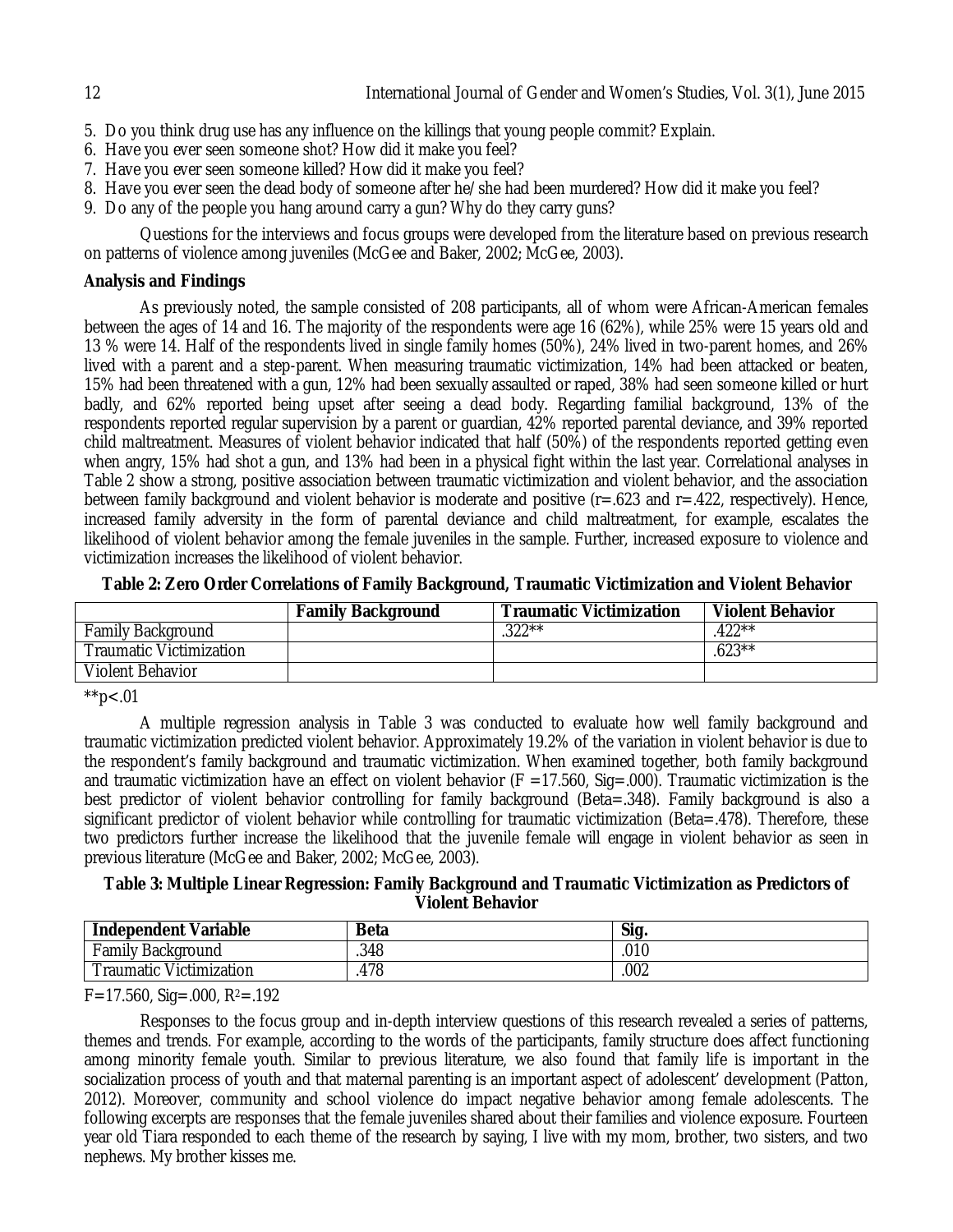- 5. Do you think drug use has any influence on the killings that young people commit? Explain.
- 6. Have you ever seen someone shot? How did it make you feel?
- 7. Have you ever seen someone killed? How did it make you feel?
- 8. Have you ever seen the dead body of someone after he/she had been murdered? How did it make you feel?
- 9. Do any of the people you hang around carry a gun? Why do they carry guns?

Questions for the interviews and focus groups were developed from the literature based on previous research on patterns of violence among juveniles (McGee and Baker, 2002; McGee, 2003).

## **Analysis and Findings**

As previously noted, the sample consisted of 208 participants, all of whom were African-American females between the ages of 14 and 16. The majority of the respondents were age 16 (62%), while 25% were 15 years old and 13 % were 14. Half of the respondents lived in single family homes (50%), 24% lived in two-parent homes, and 26% lived with a parent and a step-parent. When measuring traumatic victimization, 14% had been attacked or beaten, 15% had been threatened with a gun, 12% had been sexually assaulted or raped, 38% had seen someone killed or hurt badly, and 62% reported being upset after seeing a dead body. Regarding familial background, 13% of the respondents reported regular supervision by a parent or guardian, 42% reported parental deviance, and 39% reported child maltreatment. Measures of violent behavior indicated that half (50%) of the respondents reported getting even when angry, 15% had shot a gun, and 13% had been in a physical fight within the last year. Correlational analyses in Table 2 show a strong, positive association between traumatic victimization and violent behavior, and the association between family background and violent behavior is moderate and positive (r=.623 and r=.422, respectively). Hence, increased family adversity in the form of parental deviance and child maltreatment, for example, escalates the likelihood of violent behavior among the female juveniles in the sample. Further, increased exposure to violence and victimization increases the likelihood of violent behavior.

|                                | <b>Family Background</b> | <b>Traumatic Victimization</b> | <b>Violent Behavior</b> |
|--------------------------------|--------------------------|--------------------------------|-------------------------|
| <b>Family Background</b>       |                          | $.322**$                       | .422**                  |
| <b>Traumatic Victimization</b> |                          |                                | $.623***$               |
| Violent Behavior               |                          |                                |                         |

 $*$ <sub>\*</sub> $< 0.01$ 

A multiple regression analysis in Table 3 was conducted to evaluate how well family background and traumatic victimization predicted violent behavior. Approximately 19.2% of the variation in violent behavior is due to the respondent's family background and traumatic victimization. When examined together, both family background and traumatic victimization have an effect on violent behavior ( $F = 17.560$ , Sig=.000). Traumatic victimization is the best predictor of violent behavior controlling for family background (Beta=.348). Family background is also a significant predictor of violent behavior while controlling for traumatic victimization (Beta=.478). Therefore, these two predictors further increase the likelihood that the juvenile female will engage in violent behavior as seen in previous literature (McGee and Baker, 2002; McGee, 2003).

## **Table 3: Multiple Linear Regression: Family Background and Traumatic Victimization as Predictors of Violent Behavior**

| <b>Independent Variable</b> | <b>Beta</b> | Sig. |
|-----------------------------|-------------|------|
| Family<br>Background        | .348        | .010 |
| Victimization<br>raumatic   | 478<br>д.   | .002 |

 $F=17.560$ , Sig=.000, R<sup>2</sup>=.192

Responses to the focus group and in-depth interview questions of this research revealed a series of patterns, themes and trends. For example, according to the words of the participants, family structure does affect functioning among minority female youth. Similar to previous literature, we also found that family life is important in the socialization process of youth and that maternal parenting is an important aspect of adolescent' development (Patton, 2012). Moreover, community and school violence do impact negative behavior among female adolescents. The following excerpts are responses that the female juveniles shared about their families and violence exposure. Fourteen year old Tiara responded to each theme of the research by saying, I live with my mom, brother, two sisters, and two nephews. My brother kisses me.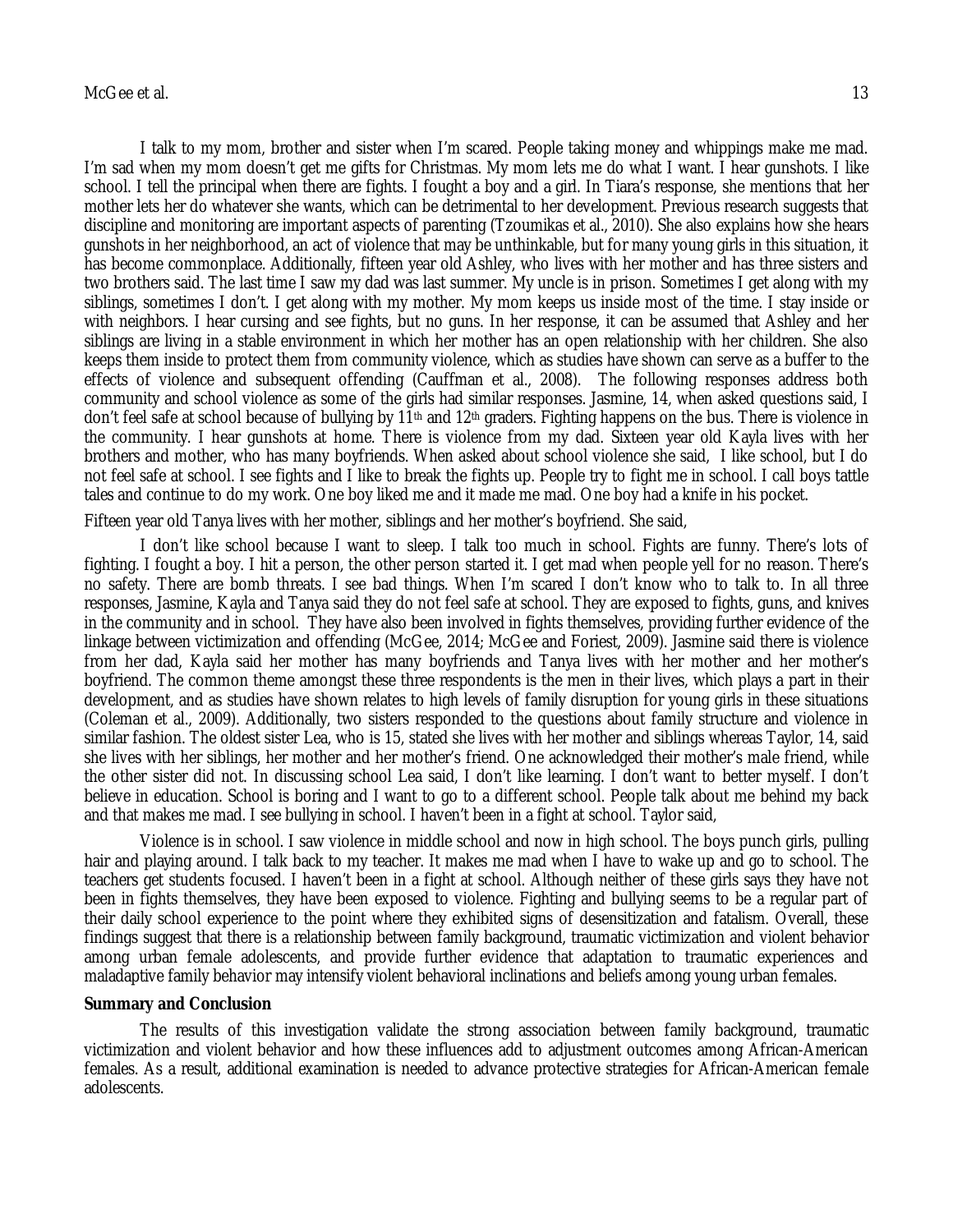I talk to my mom, brother and sister when I'm scared. People taking money and whippings make me mad. I'm sad when my mom doesn't get me gifts for Christmas. My mom lets me do what I want. I hear gunshots. I like school. I tell the principal when there are fights. I fought a boy and a girl. In Tiara's response, she mentions that her mother lets her do whatever she wants, which can be detrimental to her development. Previous research suggests that discipline and monitoring are important aspects of parenting (Tzoumikas et al., 2010). She also explains how she hears gunshots in her neighborhood, an act of violence that may be unthinkable, but for many young girls in this situation, it has become commonplace. Additionally, fifteen year old Ashley, who lives with her mother and has three sisters and two brothers said. The last time I saw my dad was last summer. My uncle is in prison. Sometimes I get along with my siblings, sometimes I don't. I get along with my mother. My mom keeps us inside most of the time. I stay inside or with neighbors. I hear cursing and see fights, but no guns. In her response, it can be assumed that Ashley and her siblings are living in a stable environment in which her mother has an open relationship with her children. She also keeps them inside to protect them from community violence, which as studies have shown can serve as a buffer to the effects of violence and subsequent offending (Cauffman et al., 2008). The following responses address both community and school violence as some of the girls had similar responses. Jasmine, 14, when asked questions said, I don't feel safe at school because of bullying by 11th and 12th graders. Fighting happens on the bus. There is violence in the community. I hear gunshots at home. There is violence from my dad. Sixteen year old Kayla lives with her brothers and mother, who has many boyfriends. When asked about school violence she said, I like school, but I do not feel safe at school. I see fights and I like to break the fights up. People try to fight me in school. I call boys tattle tales and continue to do my work. One boy liked me and it made me mad. One boy had a knife in his pocket.

Fifteen year old Tanya lives with her mother, siblings and her mother's boyfriend. She said,

I don't like school because I want to sleep. I talk too much in school. Fights are funny. There's lots of fighting. I fought a boy. I hit a person, the other person started it. I get mad when people yell for no reason. There's no safety. There are bomb threats. I see bad things. When I'm scared I don't know who to talk to. In all three responses, Jasmine, Kayla and Tanya said they do not feel safe at school. They are exposed to fights, guns, and knives in the community and in school. They have also been involved in fights themselves, providing further evidence of the linkage between victimization and offending (McGee, 2014; McGee and Foriest, 2009). Jasmine said there is violence from her dad, Kayla said her mother has many boyfriends and Tanya lives with her mother and her mother's boyfriend. The common theme amongst these three respondents is the men in their lives, which plays a part in their development, and as studies have shown relates to high levels of family disruption for young girls in these situations (Coleman et al., 2009). Additionally, two sisters responded to the questions about family structure and violence in similar fashion. The oldest sister Lea, who is 15, stated she lives with her mother and siblings whereas Taylor, 14, said she lives with her siblings, her mother and her mother's friend. One acknowledged their mother's male friend, while the other sister did not. In discussing school Lea said, I don't like learning. I don't want to better myself. I don't believe in education. School is boring and I want to go to a different school. People talk about me behind my back and that makes me mad. I see bullying in school. I haven't been in a fight at school. Taylor said,

Violence is in school. I saw violence in middle school and now in high school. The boys punch girls, pulling hair and playing around. I talk back to my teacher. It makes me mad when I have to wake up and go to school. The teachers get students focused. I haven't been in a fight at school. Although neither of these girls says they have not been in fights themselves, they have been exposed to violence. Fighting and bullying seems to be a regular part of their daily school experience to the point where they exhibited signs of desensitization and fatalism. Overall, these findings suggest that there is a relationship between family background, traumatic victimization and violent behavior among urban female adolescents, and provide further evidence that adaptation to traumatic experiences and maladaptive family behavior may intensify violent behavioral inclinations and beliefs among young urban females.

## **Summary and Conclusion**

The results of this investigation validate the strong association between family background, traumatic victimization and violent behavior and how these influences add to adjustment outcomes among African-American females. As a result, additional examination is needed to advance protective strategies for African-American female adolescents.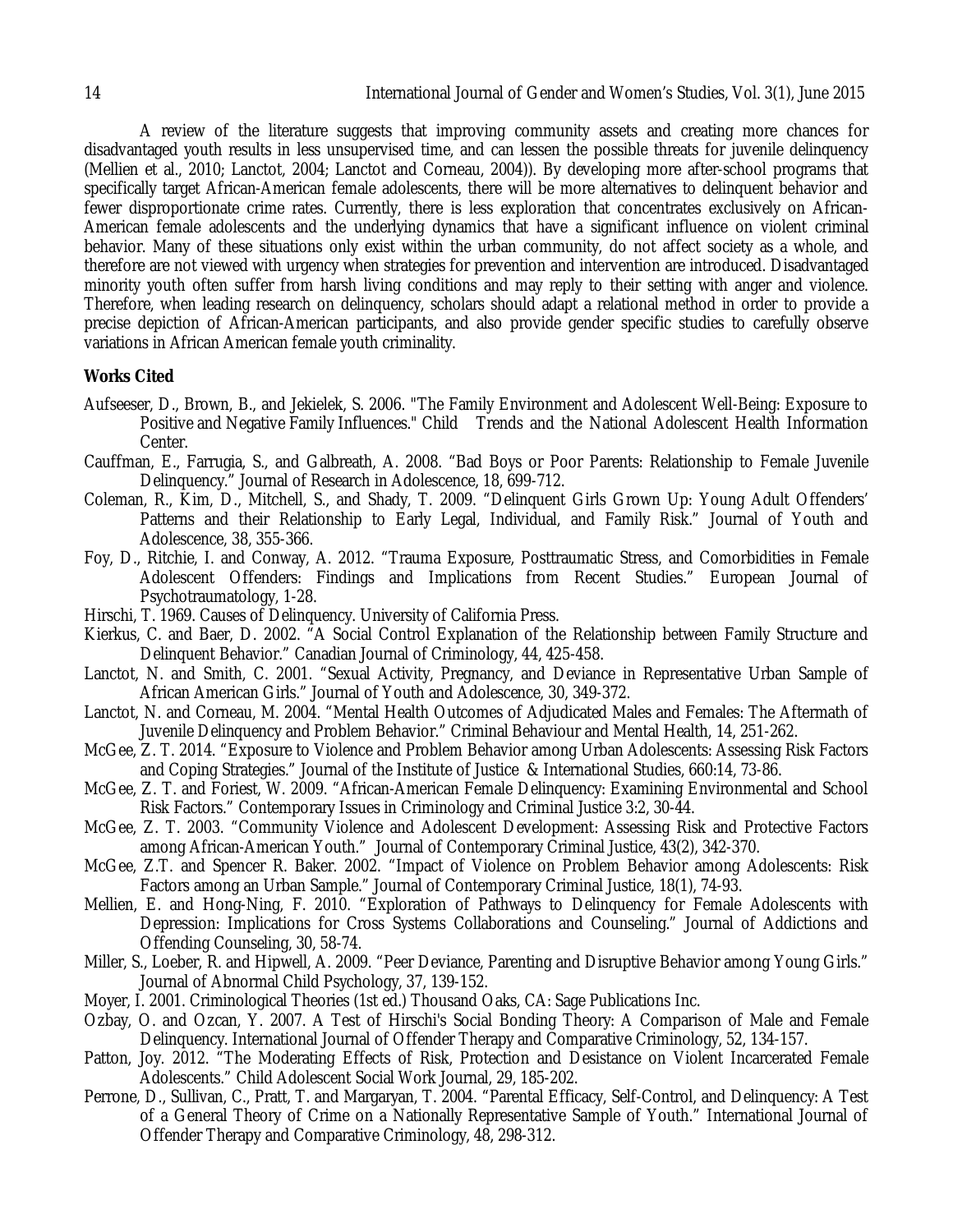A review of the literature suggests that improving community assets and creating more chances for disadvantaged youth results in less unsupervised time, and can lessen the possible threats for juvenile delinquency (Mellien et al., 2010; Lanctot, 2004; Lanctot and Corneau, 2004)). By developing more after-school programs that specifically target African-American female adolescents, there will be more alternatives to delinquent behavior and fewer disproportionate crime rates. Currently, there is less exploration that concentrates exclusively on African-American female adolescents and the underlying dynamics that have a significant influence on violent criminal behavior. Many of these situations only exist within the urban community, do not affect society as a whole, and therefore are not viewed with urgency when strategies for prevention and intervention are introduced. Disadvantaged minority youth often suffer from harsh living conditions and may reply to their setting with anger and violence. Therefore, when leading research on delinquency, scholars should adapt a relational method in order to provide a precise depiction of African-American participants, and also provide gender specific studies to carefully observe variations in African American female youth criminality.

## **Works Cited**

- Aufseeser, D., Brown, B., and Jekielek, S. 2006. "The Family Environment and Adolescent Well-Being: Exposure to Positive and Negative Family Influences." Child Trends and the National Adolescent Health Information Center.
- Cauffman, E., Farrugia, S., and Galbreath, A. 2008. "Bad Boys or Poor Parents: Relationship to Female Juvenile Delinquency." Journal of Research in Adolescence, 18, 699-712.
- Coleman, R., Kim, D., Mitchell, S., and Shady, T. 2009. "Delinquent Girls Grown Up: Young Adult Offenders' Patterns and their Relationship to Early Legal, Individual, and Family Risk." Journal of Youth and Adolescence, 38, 355-366.
- Foy, D., Ritchie, I. and Conway, A. 2012. "Trauma Exposure, Posttraumatic Stress, and Comorbidities in Female Adolescent Offenders: Findings and Implications from Recent Studies." European Journal of Psychotraumatology, 1-28.
- Hirschi, T. 1969. Causes of Delinquency. University of California Press.
- Kierkus, C. and Baer, D. 2002. "A Social Control Explanation of the Relationship between Family Structure and Delinquent Behavior." Canadian Journal of Criminology, 44, 425-458.
- Lanctot, N. and Smith, C. 2001. "Sexual Activity, Pregnancy, and Deviance in Representative Urban Sample of African American Girls." Journal of Youth and Adolescence, 30, 349-372.
- Lanctot, N. and Corneau, M. 2004. "Mental Health Outcomes of Adjudicated Males and Females: The Aftermath of Juvenile Delinquency and Problem Behavior." Criminal Behaviour and Mental Health, 14, 251-262.
- McGee, Z. T. 2014. "Exposure to Violence and Problem Behavior among Urban Adolescents: Assessing Risk Factors and Coping Strategies." Journal of the Institute of Justice & International Studies, 660:14, 73-86.
- McGee, Z. T. and Foriest, W. 2009. "African-American Female Delinquency: Examining Environmental and School Risk Factors." Contemporary Issues in Criminology and Criminal Justice 3:2, 30-44.
- McGee, Z. T. 2003. "Community Violence and Adolescent Development: Assessing Risk and Protective Factors among African-American Youth." Journal of Contemporary Criminal Justice, 43(2), 342-370.
- McGee, Z.T. and Spencer R. Baker. 2002. "Impact of Violence on Problem Behavior among Adolescents: Risk Factors among an Urban Sample." Journal of Contemporary Criminal Justice, 18(1), 74-93.
- Mellien, E. and Hong-Ning, F. 2010. "Exploration of Pathways to Delinquency for Female Adolescents with Depression: Implications for Cross Systems Collaborations and Counseling." Journal of Addictions and Offending Counseling, 30, 58-74.
- Miller, S., Loeber, R. and Hipwell, A. 2009. "Peer Deviance, Parenting and Disruptive Behavior among Young Girls." Journal of Abnormal Child Psychology, 37, 139-152.
- Moyer, I. 2001. Criminological Theories (1st ed.) Thousand Oaks, CA: Sage Publications Inc.
- Ozbay, O. and Ozcan, Y. 2007. A Test of Hirschi's Social Bonding Theory: A Comparison of Male and Female Delinquency. International Journal of Offender Therapy and Comparative Criminology, 52, 134-157.
- Patton, Joy. 2012. "The Moderating Effects of Risk, Protection and Desistance on Violent Incarcerated Female Adolescents." Child Adolescent Social Work Journal, 29, 185-202.
- Perrone, D., Sullivan, C., Pratt, T. and Margaryan, T. 2004. "Parental Efficacy, Self-Control, and Delinquency: A Test of a General Theory of Crime on a Nationally Representative Sample of Youth." International Journal of Offender Therapy and Comparative Criminology, 48, 298-312.